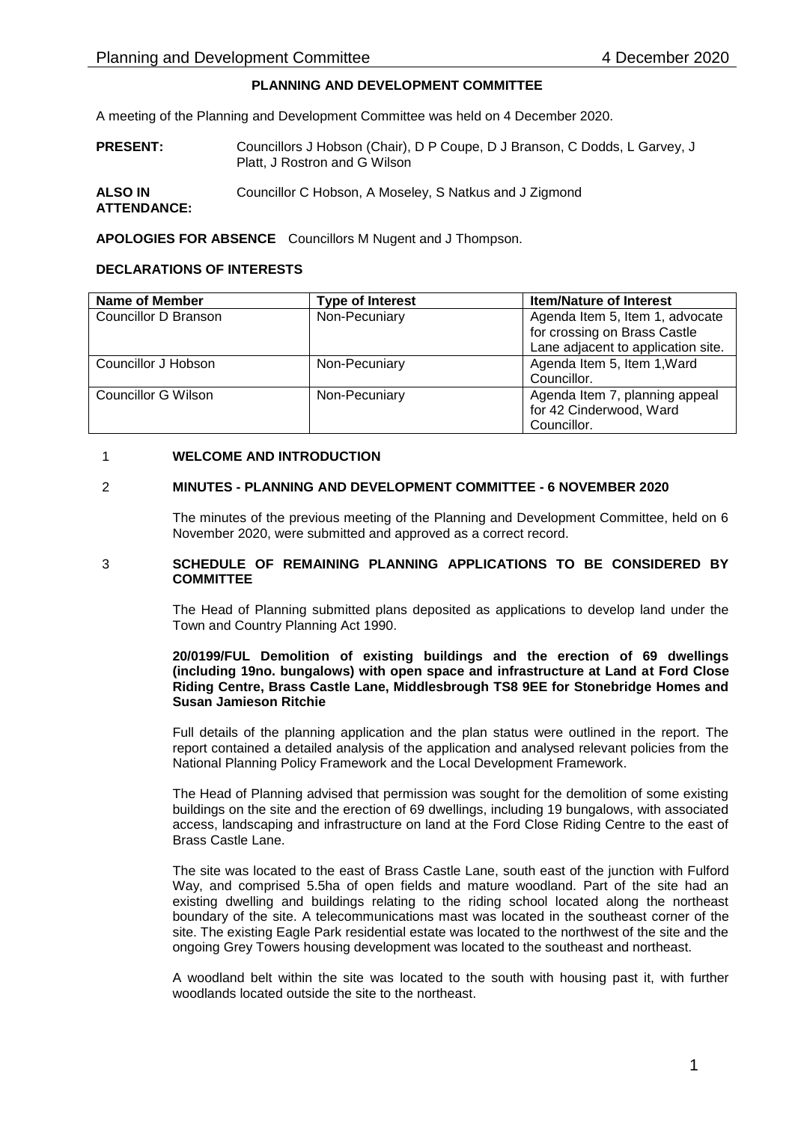# **PLANNING AND DEVELOPMENT COMMITTEE**

A meeting of the Planning and Development Committee was held on 4 December 2020.

- **PRESENT:** Councillors J Hobson (Chair), D P Coupe, D J Branson, C Dodds, L Garvey, J Platt, J Rostron and G Wilson
- **ALSO IN ATTENDANCE:** Councillor C Hobson, A Moseley, S Natkus and J Zigmond

**APOLOGIES FOR ABSENCE** Councillors M Nugent and J Thompson.

## **DECLARATIONS OF INTERESTS**

| <b>Name of Member</b>      | <b>Type of Interest</b> | <b>Item/Nature of Interest</b>     |
|----------------------------|-------------------------|------------------------------------|
| Councillor D Branson       | Non-Pecuniary           | Agenda Item 5, Item 1, advocate    |
|                            |                         | for crossing on Brass Castle       |
|                            |                         | Lane adjacent to application site. |
| Councillor J Hobson        | Non-Pecuniary           | Agenda Item 5, Item 1, Ward        |
|                            |                         | Councillor.                        |
| <b>Councillor G Wilson</b> | Non-Pecuniary           | Agenda Item 7, planning appeal     |
|                            |                         | for 42 Cinderwood, Ward            |
|                            |                         | Councillor.                        |

## 1 **WELCOME AND INTRODUCTION**

## 2 **MINUTES - PLANNING AND DEVELOPMENT COMMITTEE - 6 NOVEMBER 2020**

The minutes of the previous meeting of the Planning and Development Committee, held on 6 November 2020, were submitted and approved as a correct record.

### 3 **SCHEDULE OF REMAINING PLANNING APPLICATIONS TO BE CONSIDERED BY COMMITTEE**

The Head of Planning submitted plans deposited as applications to develop land under the Town and Country Planning Act 1990.

### **20/0199/FUL Demolition of existing buildings and the erection of 69 dwellings (including 19no. bungalows) with open space and infrastructure at Land at Ford Close Riding Centre, Brass Castle Lane, Middlesbrough TS8 9EE for Stonebridge Homes and Susan Jamieson Ritchie**

Full details of the planning application and the plan status were outlined in the report. The report contained a detailed analysis of the application and analysed relevant policies from the National Planning Policy Framework and the Local Development Framework.

The Head of Planning advised that permission was sought for the demolition of some existing buildings on the site and the erection of 69 dwellings, including 19 bungalows, with associated access, landscaping and infrastructure on land at the Ford Close Riding Centre to the east of Brass Castle Lane.

The site was located to the east of Brass Castle Lane, south east of the junction with Fulford Way, and comprised 5.5ha of open fields and mature woodland. Part of the site had an existing dwelling and buildings relating to the riding school located along the northeast boundary of the site. A telecommunications mast was located in the southeast corner of the site. The existing Eagle Park residential estate was located to the northwest of the site and the ongoing Grey Towers housing development was located to the southeast and northeast.

A woodland belt within the site was located to the south with housing past it, with further woodlands located outside the site to the northeast.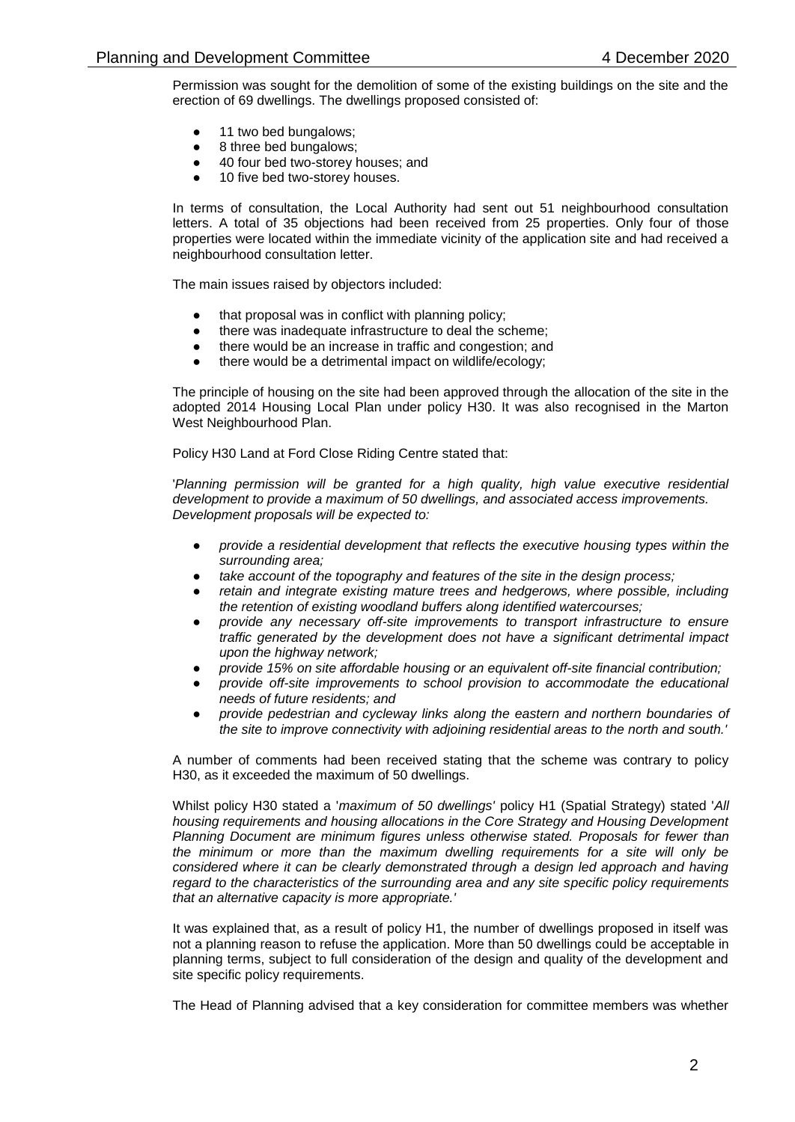Permission was sought for the demolition of some of the existing buildings on the site and the erection of 69 dwellings. The dwellings proposed consisted of:

- 11 two bed bungalows;
- 8 three bed bungalows;
- 40 four bed two-storey houses; and
- 10 five bed two-storey houses.

In terms of consultation, the Local Authority had sent out 51 neighbourhood consultation letters. A total of 35 objections had been received from 25 properties. Only four of those properties were located within the immediate vicinity of the application site and had received a neighbourhood consultation letter.

The main issues raised by objectors included:

- that proposal was in conflict with planning policy;
- there was inadequate infrastructure to deal the scheme;
- there would be an increase in traffic and congestion; and
- there would be a detrimental impact on wildlife/ecology;

The principle of housing on the site had been approved through the allocation of the site in the adopted 2014 Housing Local Plan under policy H30. It was also recognised in the Marton West Neighbourhood Plan.

Policy H30 Land at Ford Close Riding Centre stated that:

'*Planning permission will be granted for a high quality, high value executive residential development to provide a maximum of 50 dwellings, and associated access improvements. Development proposals will be expected to:*

- *provide a residential development that reflects the executive housing types within the surrounding area;*
- take account of the topography and features of the site in the design process;
- *retain and integrate existing mature trees and hedgerows, where possible, including the retention of existing woodland buffers along identified watercourses;*
- *provide any necessary off-site improvements to transport infrastructure to ensure traffic generated by the development does not have a significant detrimental impact upon the highway network;*
- *provide 15% on site affordable housing or an equivalent off-site financial contribution;*
- *provide off-site improvements to school provision to accommodate the educational needs of future residents; and*
- *provide pedestrian and cycleway links along the eastern and northern boundaries of the site to improve connectivity with adjoining residential areas to the north and south.'*

A number of comments had been received stating that the scheme was contrary to policy H30, as it exceeded the maximum of 50 dwellings.

Whilst policy H30 stated a '*maximum of 50 dwellings'* policy H1 (Spatial Strategy) stated '*All housing requirements and housing allocations in the Core Strategy and Housing Development Planning Document are minimum figures unless otherwise stated. Proposals for fewer than the minimum or more than the maximum dwelling requirements for a site will only be considered where it can be clearly demonstrated through a design led approach and having regard to the characteristics of the surrounding area and any site specific policy requirements that an alternative capacity is more appropriate.'*

It was explained that, as a result of policy H1, the number of dwellings proposed in itself was not a planning reason to refuse the application. More than 50 dwellings could be acceptable in planning terms, subject to full consideration of the design and quality of the development and site specific policy requirements.

The Head of Planning advised that a key consideration for committee members was whether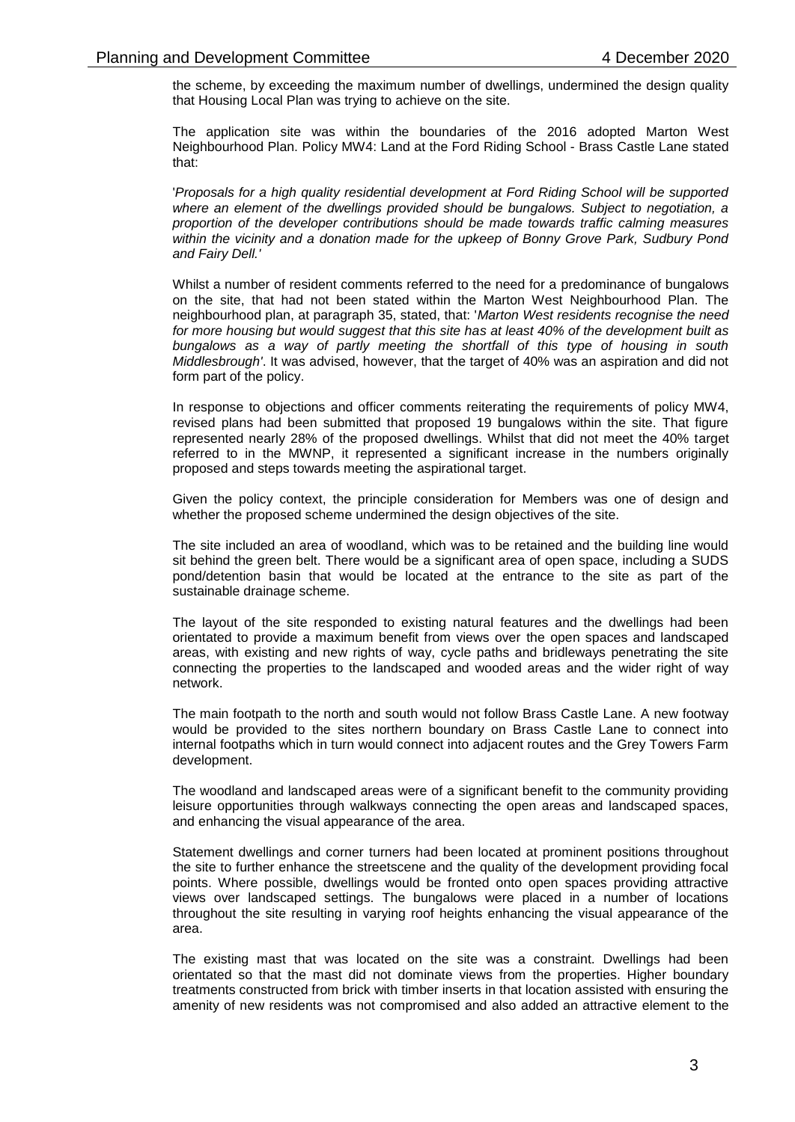the scheme, by exceeding the maximum number of dwellings, undermined the design quality that Housing Local Plan was trying to achieve on the site.

The application site was within the boundaries of the 2016 adopted Marton West Neighbourhood Plan. Policy MW4: Land at the Ford Riding School - Brass Castle Lane stated that:

'*Proposals for a high quality residential development at Ford Riding School will be supported where an element of the dwellings provided should be bungalows. Subject to negotiation, a proportion of the developer contributions should be made towards traffic calming measures within the vicinity and a donation made for the upkeep of Bonny Grove Park, Sudbury Pond and Fairy Dell.'*

Whilst a number of resident comments referred to the need for a predominance of bungalows on the site, that had not been stated within the Marton West Neighbourhood Plan. The neighbourhood plan, at paragraph 35, stated, that: '*Marton West residents recognise the need for more housing but would suggest that this site has at least 40% of the development built as bungalows as a way of partly meeting the shortfall of this type of housing in south Middlesbrough'*. It was advised, however, that the target of 40% was an aspiration and did not form part of the policy.

In response to objections and officer comments reiterating the requirements of policy MW4, revised plans had been submitted that proposed 19 bungalows within the site. That figure represented nearly 28% of the proposed dwellings. Whilst that did not meet the 40% target referred to in the MWNP, it represented a significant increase in the numbers originally proposed and steps towards meeting the aspirational target.

Given the policy context, the principle consideration for Members was one of design and whether the proposed scheme undermined the design objectives of the site.

The site included an area of woodland, which was to be retained and the building line would sit behind the green belt. There would be a significant area of open space, including a SUDS pond/detention basin that would be located at the entrance to the site as part of the sustainable drainage scheme.

The layout of the site responded to existing natural features and the dwellings had been orientated to provide a maximum benefit from views over the open spaces and landscaped areas, with existing and new rights of way, cycle paths and bridleways penetrating the site connecting the properties to the landscaped and wooded areas and the wider right of way network.

The main footpath to the north and south would not follow Brass Castle Lane. A new footway would be provided to the sites northern boundary on Brass Castle Lane to connect into internal footpaths which in turn would connect into adjacent routes and the Grey Towers Farm development.

The woodland and landscaped areas were of a significant benefit to the community providing leisure opportunities through walkways connecting the open areas and landscaped spaces, and enhancing the visual appearance of the area.

Statement dwellings and corner turners had been located at prominent positions throughout the site to further enhance the streetscene and the quality of the development providing focal points. Where possible, dwellings would be fronted onto open spaces providing attractive views over landscaped settings. The bungalows were placed in a number of locations throughout the site resulting in varying roof heights enhancing the visual appearance of the area.

The existing mast that was located on the site was a constraint. Dwellings had been orientated so that the mast did not dominate views from the properties. Higher boundary treatments constructed from brick with timber inserts in that location assisted with ensuring the amenity of new residents was not compromised and also added an attractive element to the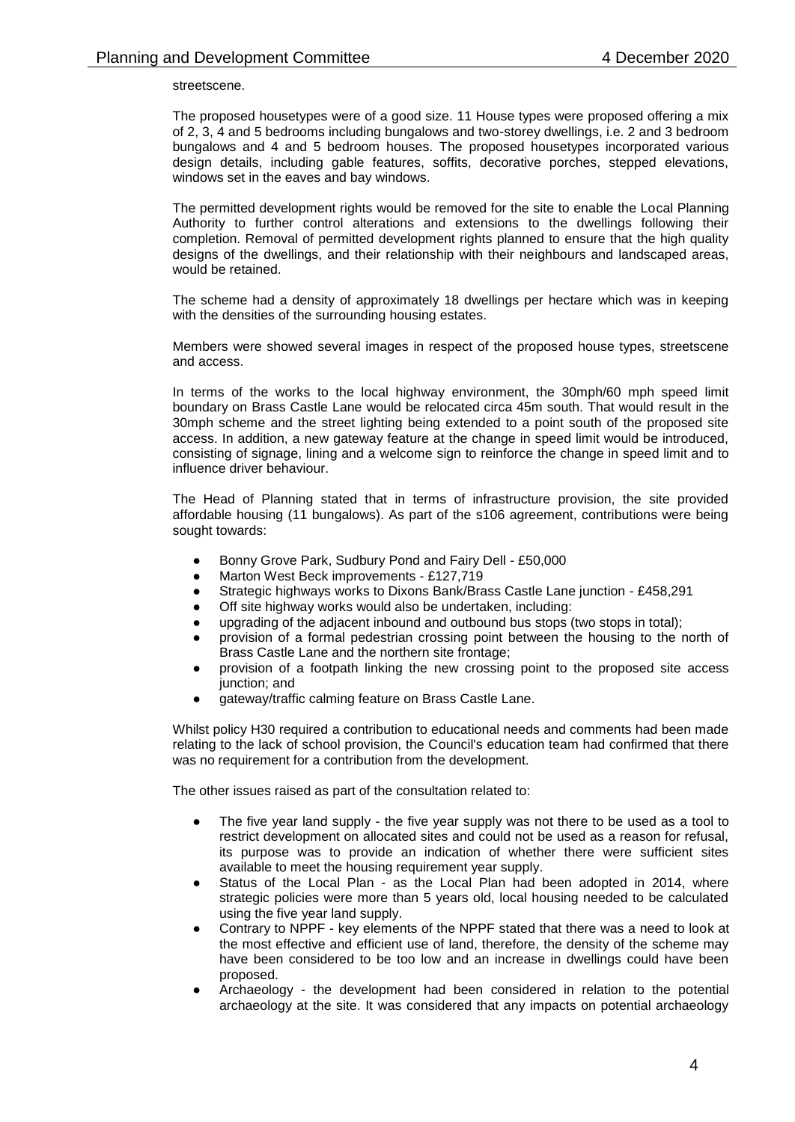streetscene.

The proposed housetypes were of a good size. 11 House types were proposed offering a mix of 2, 3, 4 and 5 bedrooms including bungalows and two-storey dwellings, i.e. 2 and 3 bedroom bungalows and 4 and 5 bedroom houses. The proposed housetypes incorporated various design details, including gable features, soffits, decorative porches, stepped elevations, windows set in the eaves and bay windows.

The permitted development rights would be removed for the site to enable the Local Planning Authority to further control alterations and extensions to the dwellings following their completion. Removal of permitted development rights planned to ensure that the high quality designs of the dwellings, and their relationship with their neighbours and landscaped areas, would be retained.

The scheme had a density of approximately 18 dwellings per hectare which was in keeping with the densities of the surrounding housing estates.

Members were showed several images in respect of the proposed house types, streetscene and access.

In terms of the works to the local highway environment, the 30mph/60 mph speed limit boundary on Brass Castle Lane would be relocated circa 45m south. That would result in the 30mph scheme and the street lighting being extended to a point south of the proposed site access. In addition, a new gateway feature at the change in speed limit would be introduced, consisting of signage, lining and a welcome sign to reinforce the change in speed limit and to influence driver behaviour.

The Head of Planning stated that in terms of infrastructure provision, the site provided affordable housing (11 bungalows). As part of the s106 agreement, contributions were being sought towards:

- Bonny Grove Park, Sudbury Pond and Fairy Dell £50,000
- Marton West Beck improvements £127,719
- Strategic highways works to Dixons Bank/Brass Castle Lane junction £458,291
- Off site highway works would also be undertaken, including:
- upgrading of the adjacent inbound and outbound bus stops (two stops in total);
- provision of a formal pedestrian crossing point between the housing to the north of Brass Castle Lane and the northern site frontage;
- provision of a footpath linking the new crossing point to the proposed site access junction; and
- gateway/traffic calming feature on Brass Castle Lane.

Whilst policy H30 required a contribution to educational needs and comments had been made relating to the lack of school provision, the Council's education team had confirmed that there was no requirement for a contribution from the development.

The other issues raised as part of the consultation related to:

- The five year land supply the five year supply was not there to be used as a tool to restrict development on allocated sites and could not be used as a reason for refusal, its purpose was to provide an indication of whether there were sufficient sites available to meet the housing requirement year supply.
- Status of the Local Plan as the Local Plan had been adopted in 2014, where strategic policies were more than 5 years old, local housing needed to be calculated using the five year land supply.
- Contrary to NPPF key elements of the NPPF stated that there was a need to look at the most effective and efficient use of land, therefore, the density of the scheme may have been considered to be too low and an increase in dwellings could have been proposed.
- Archaeology the development had been considered in relation to the potential archaeology at the site. It was considered that any impacts on potential archaeology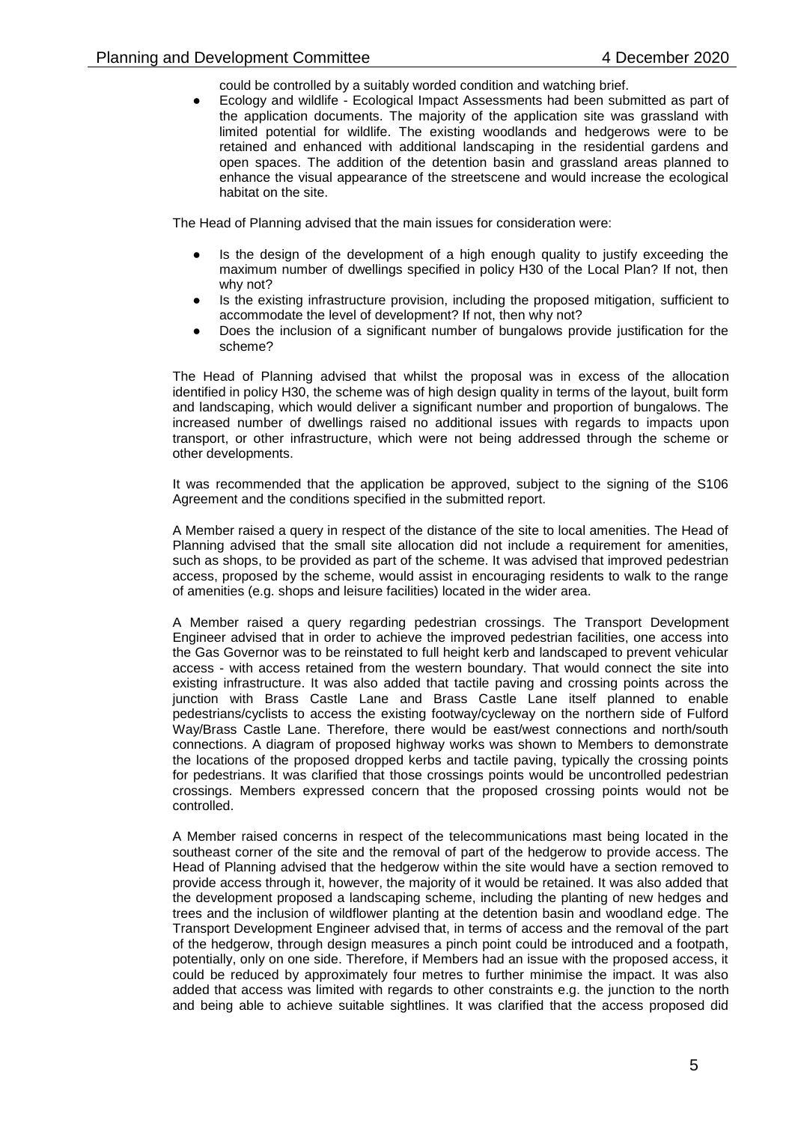could be controlled by a suitably worded condition and watching brief.

Ecology and wildlife - Ecological Impact Assessments had been submitted as part of the application documents. The majority of the application site was grassland with limited potential for wildlife. The existing woodlands and hedgerows were to be retained and enhanced with additional landscaping in the residential gardens and open spaces. The addition of the detention basin and grassland areas planned to enhance the visual appearance of the streetscene and would increase the ecological habitat on the site.

The Head of Planning advised that the main issues for consideration were:

- Is the design of the development of a high enough quality to justify exceeding the maximum number of dwellings specified in policy H30 of the Local Plan? If not, then why not?
- Is the existing infrastructure provision, including the proposed mitigation, sufficient to accommodate the level of development? If not, then why not?
- Does the inclusion of a significant number of bungalows provide justification for the scheme?

The Head of Planning advised that whilst the proposal was in excess of the allocation identified in policy H30, the scheme was of high design quality in terms of the layout, built form and landscaping, which would deliver a significant number and proportion of bungalows. The increased number of dwellings raised no additional issues with regards to impacts upon transport, or other infrastructure, which were not being addressed through the scheme or other developments.

It was recommended that the application be approved, subject to the signing of the S106 Agreement and the conditions specified in the submitted report.

A Member raised a query in respect of the distance of the site to local amenities. The Head of Planning advised that the small site allocation did not include a requirement for amenities, such as shops, to be provided as part of the scheme. It was advised that improved pedestrian access, proposed by the scheme, would assist in encouraging residents to walk to the range of amenities (e.g. shops and leisure facilities) located in the wider area.

A Member raised a query regarding pedestrian crossings. The Transport Development Engineer advised that in order to achieve the improved pedestrian facilities, one access into the Gas Governor was to be reinstated to full height kerb and landscaped to prevent vehicular access - with access retained from the western boundary. That would connect the site into existing infrastructure. It was also added that tactile paving and crossing points across the junction with Brass Castle Lane and Brass Castle Lane itself planned to enable pedestrians/cyclists to access the existing footway/cycleway on the northern side of Fulford Way/Brass Castle Lane. Therefore, there would be east/west connections and north/south connections. A diagram of proposed highway works was shown to Members to demonstrate the locations of the proposed dropped kerbs and tactile paving, typically the crossing points for pedestrians. It was clarified that those crossings points would be uncontrolled pedestrian crossings. Members expressed concern that the proposed crossing points would not be controlled.

A Member raised concerns in respect of the telecommunications mast being located in the southeast corner of the site and the removal of part of the hedgerow to provide access. The Head of Planning advised that the hedgerow within the site would have a section removed to provide access through it, however, the majority of it would be retained. It was also added that the development proposed a landscaping scheme, including the planting of new hedges and trees and the inclusion of wildflower planting at the detention basin and woodland edge. The Transport Development Engineer advised that, in terms of access and the removal of the part of the hedgerow, through design measures a pinch point could be introduced and a footpath, potentially, only on one side. Therefore, if Members had an issue with the proposed access, it could be reduced by approximately four metres to further minimise the impact. It was also added that access was limited with regards to other constraints e.g. the junction to the north and being able to achieve suitable sightlines. It was clarified that the access proposed did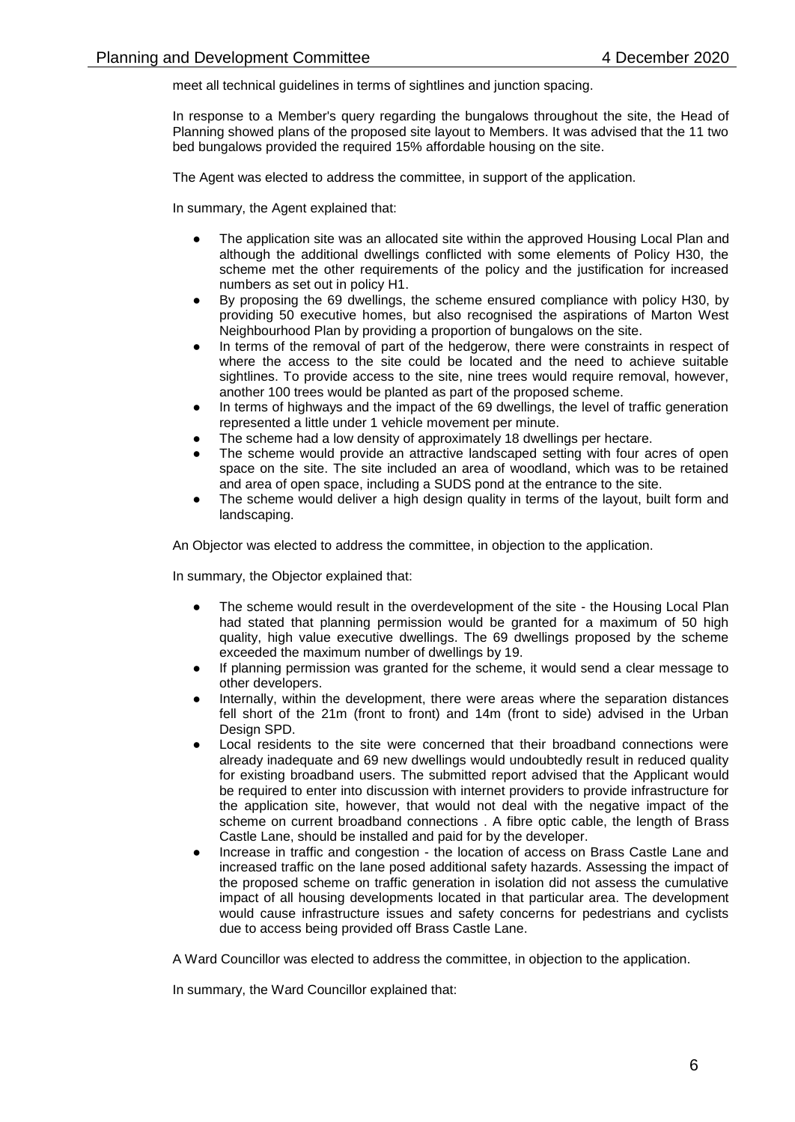meet all technical guidelines in terms of sightlines and junction spacing.

In response to a Member's query regarding the bungalows throughout the site, the Head of Planning showed plans of the proposed site layout to Members. It was advised that the 11 two bed bungalows provided the required 15% affordable housing on the site.

The Agent was elected to address the committee, in support of the application.

In summary, the Agent explained that:

- The application site was an allocated site within the approved Housing Local Plan and although the additional dwellings conflicted with some elements of Policy H30, the scheme met the other requirements of the policy and the justification for increased numbers as set out in policy H1.
- By proposing the 69 dwellings, the scheme ensured compliance with policy H30, by providing 50 executive homes, but also recognised the aspirations of Marton West Neighbourhood Plan by providing a proportion of bungalows on the site.
- In terms of the removal of part of the hedgerow, there were constraints in respect of where the access to the site could be located and the need to achieve suitable sightlines. To provide access to the site, nine trees would require removal, however, another 100 trees would be planted as part of the proposed scheme.
- In terms of highways and the impact of the 69 dwellings, the level of traffic generation represented a little under 1 vehicle movement per minute.
- The scheme had a low density of approximately 18 dwellings per hectare.
- The scheme would provide an attractive landscaped setting with four acres of open space on the site. The site included an area of woodland, which was to be retained and area of open space, including a SUDS pond at the entrance to the site.
- The scheme would deliver a high design quality in terms of the layout, built form and landscaping.

An Objector was elected to address the committee, in objection to the application.

In summary, the Objector explained that:

- The scheme would result in the overdevelopment of the site the Housing Local Plan had stated that planning permission would be granted for a maximum of 50 high quality, high value executive dwellings. The 69 dwellings proposed by the scheme exceeded the maximum number of dwellings by 19.
- If planning permission was granted for the scheme, it would send a clear message to other developers.
- Internally, within the development, there were areas where the separation distances fell short of the 21m (front to front) and 14m (front to side) advised in the Urban Design SPD.
- Local residents to the site were concerned that their broadband connections were already inadequate and 69 new dwellings would undoubtedly result in reduced quality for existing broadband users. The submitted report advised that the Applicant would be required to enter into discussion with internet providers to provide infrastructure for the application site, however, that would not deal with the negative impact of the scheme on current broadband connections . A fibre optic cable, the length of Brass Castle Lane, should be installed and paid for by the developer.
- Increase in traffic and congestion the location of access on Brass Castle Lane and increased traffic on the lane posed additional safety hazards. Assessing the impact of the proposed scheme on traffic generation in isolation did not assess the cumulative impact of all housing developments located in that particular area. The development would cause infrastructure issues and safety concerns for pedestrians and cyclists due to access being provided off Brass Castle Lane.

A Ward Councillor was elected to address the committee, in objection to the application.

In summary, the Ward Councillor explained that: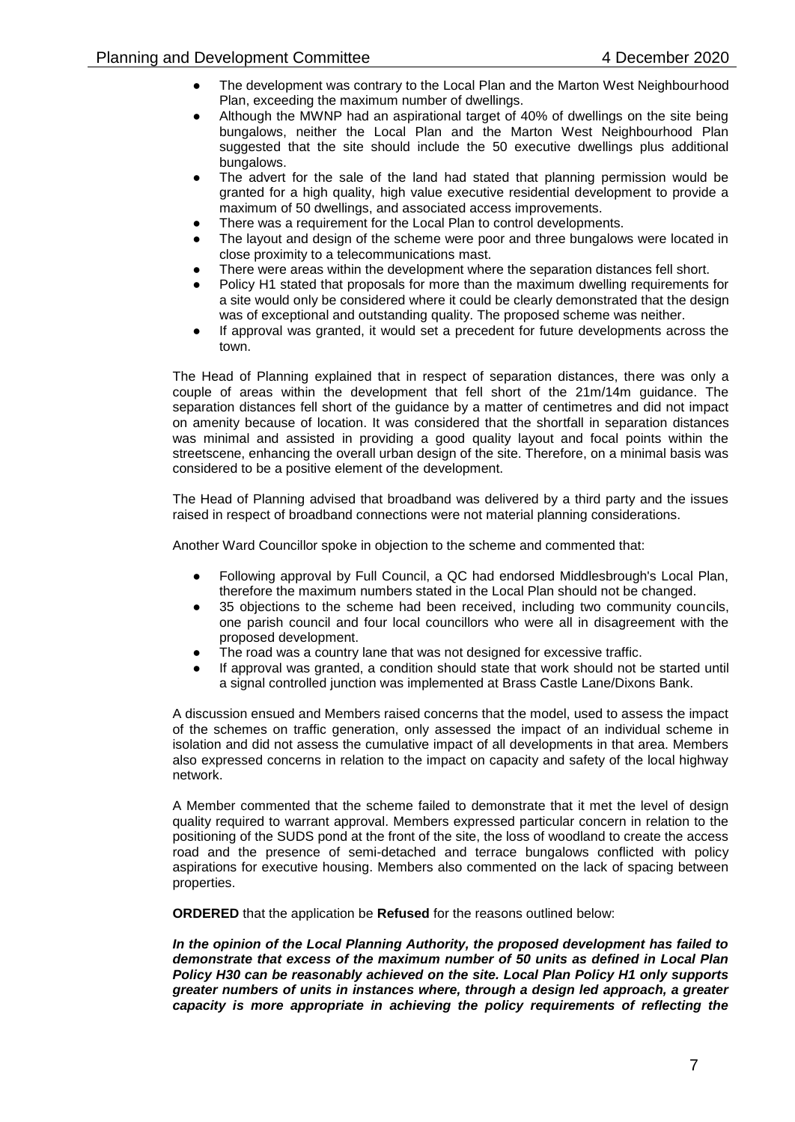- The development was contrary to the Local Plan and the Marton West Neighbourhood Plan, exceeding the maximum number of dwellings.
- Although the MWNP had an aspirational target of  $40\%$  of dwellings on the site being bungalows, neither the Local Plan and the Marton West Neighbourhood Plan suggested that the site should include the 50 executive dwellings plus additional bungalows.
- The advert for the sale of the land had stated that planning permission would be granted for a high quality, high value executive residential development to provide a maximum of 50 dwellings, and associated access improvements.
- There was a requirement for the Local Plan to control developments.
- The layout and design of the scheme were poor and three bungalows were located in close proximity to a telecommunications mast.
- There were areas within the development where the separation distances fell short.
- Policy H1 stated that proposals for more than the maximum dwelling requirements for a site would only be considered where it could be clearly demonstrated that the design was of exceptional and outstanding quality. The proposed scheme was neither.
- If approval was granted, it would set a precedent for future developments across the town.

The Head of Planning explained that in respect of separation distances, there was only a couple of areas within the development that fell short of the 21m/14m guidance. The separation distances fell short of the guidance by a matter of centimetres and did not impact on amenity because of location. It was considered that the shortfall in separation distances was minimal and assisted in providing a good quality layout and focal points within the streetscene, enhancing the overall urban design of the site. Therefore, on a minimal basis was considered to be a positive element of the development.

The Head of Planning advised that broadband was delivered by a third party and the issues raised in respect of broadband connections were not material planning considerations.

Another Ward Councillor spoke in objection to the scheme and commented that:

- Following approval by Full Council, a QC had endorsed Middlesbrough's Local Plan, therefore the maximum numbers stated in the Local Plan should not be changed.
- 35 objections to the scheme had been received, including two community councils, one parish council and four local councillors who were all in disagreement with the proposed development.
- The road was a country lane that was not designed for excessive traffic.
- If approval was granted, a condition should state that work should not be started until a signal controlled junction was implemented at Brass Castle Lane/Dixons Bank.

A discussion ensued and Members raised concerns that the model, used to assess the impact of the schemes on traffic generation, only assessed the impact of an individual scheme in isolation and did not assess the cumulative impact of all developments in that area. Members also expressed concerns in relation to the impact on capacity and safety of the local highway network.

A Member commented that the scheme failed to demonstrate that it met the level of design quality required to warrant approval. Members expressed particular concern in relation to the positioning of the SUDS pond at the front of the site, the loss of woodland to create the access road and the presence of semi-detached and terrace bungalows conflicted with policy aspirations for executive housing. Members also commented on the lack of spacing between properties.

**ORDERED** that the application be **Refused** for the reasons outlined below:

*In the opinion of the Local Planning Authority, the proposed development has failed to demonstrate that excess of the maximum number of 50 units as defined in Local Plan Policy H30 can be reasonably achieved on the site. Local Plan Policy H1 only supports greater numbers of units in instances where, through a design led approach, a greater capacity is more appropriate in achieving the policy requirements of reflecting the*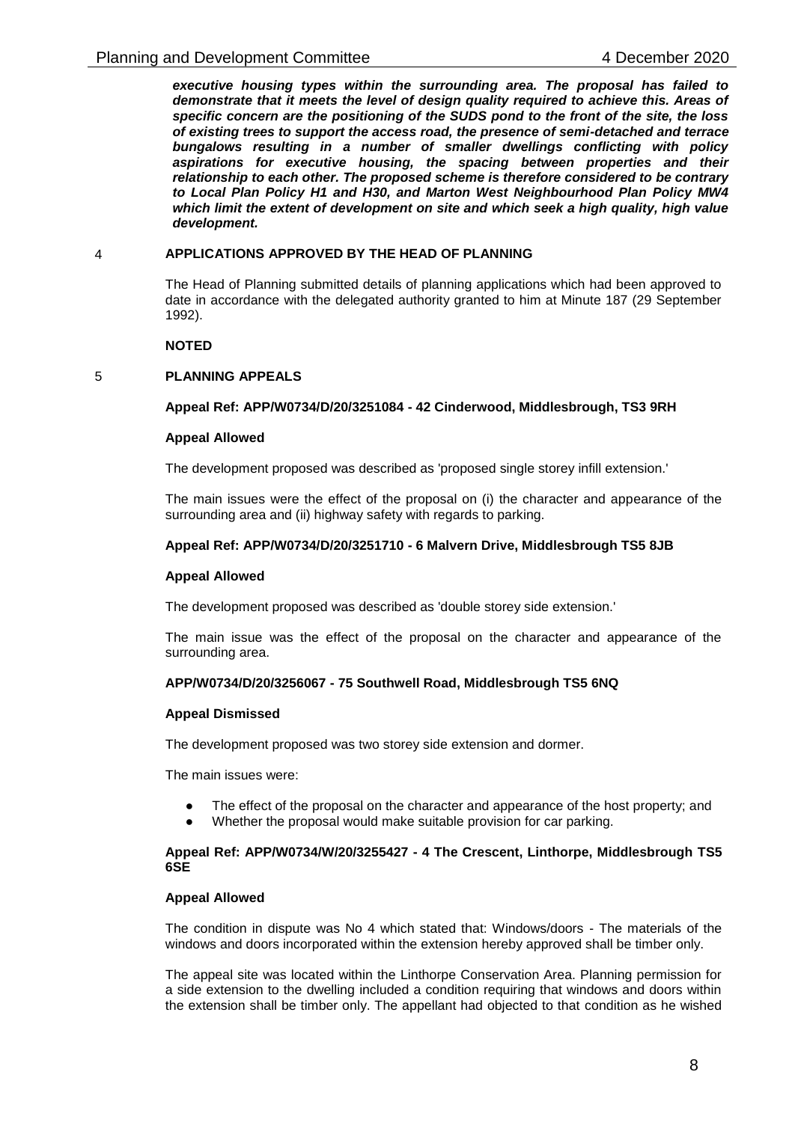*executive housing types within the surrounding area. The proposal has failed to demonstrate that it meets the level of design quality required to achieve this. Areas of specific concern are the positioning of the SUDS pond to the front of the site, the loss of existing trees to support the access road, the presence of semi-detached and terrace bungalows resulting in a number of smaller dwellings conflicting with policy aspirations for executive housing, the spacing between properties and their relationship to each other. The proposed scheme is therefore considered to be contrary to Local Plan Policy H1 and H30, and Marton West Neighbourhood Plan Policy MW4 which limit the extent of development on site and which seek a high quality, high value development.* 

### 4 **APPLICATIONS APPROVED BY THE HEAD OF PLANNING**

The Head of Planning submitted details of planning applications which had been approved to date in accordance with the delegated authority granted to him at Minute 187 (29 September 1992).

### **NOTED**

## 5 **PLANNING APPEALS**

## **Appeal Ref: APP/W0734/D/20/3251084 - 42 Cinderwood, Middlesbrough, TS3 9RH**

## **Appeal Allowed**

The development proposed was described as 'proposed single storey infill extension.'

The main issues were the effect of the proposal on (i) the character and appearance of the surrounding area and (ii) highway safety with regards to parking.

### **Appeal Ref: APP/W0734/D/20/3251710 - 6 Malvern Drive, Middlesbrough TS5 8JB**

### **Appeal Allowed**

The development proposed was described as 'double storey side extension.'

The main issue was the effect of the proposal on the character and appearance of the surrounding area.

### **APP/W0734/D/20/3256067 - 75 Southwell Road, Middlesbrough TS5 6NQ**

### **Appeal Dismissed**

The development proposed was two storey side extension and dormer.

The main issues were:

- The effect of the proposal on the character and appearance of the host property; and
- Whether the proposal would make suitable provision for car parking.

## **Appeal Ref: APP/W0734/W/20/3255427 - 4 The Crescent, Linthorpe, Middlesbrough TS5 6SE**

### **Appeal Allowed**

The condition in dispute was No 4 which stated that: Windows/doors - The materials of the windows and doors incorporated within the extension hereby approved shall be timber only.

The appeal site was located within the Linthorpe Conservation Area. Planning permission for a side extension to the dwelling included a condition requiring that windows and doors within the extension shall be timber only. The appellant had objected to that condition as he wished